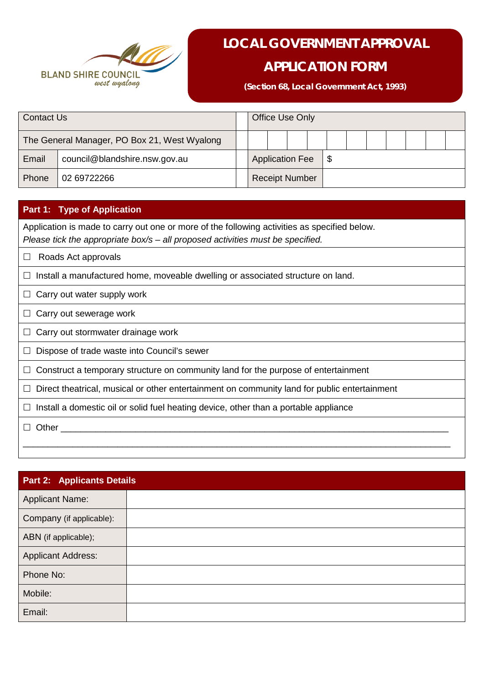

# **LOCAL GOVERNMENT APPROVAL**

# **APPLICATION FORM**

**(Section 68, Local Government Act, 1993)**

| <b>Contact Us</b>                            |                               |  |                        | <b>Office Use Only</b> |    |  |  |  |  |
|----------------------------------------------|-------------------------------|--|------------------------|------------------------|----|--|--|--|--|
| The General Manager, PO Box 21, West Wyalong |                               |  |                        |                        |    |  |  |  |  |
| Email                                        | council@blandshire.nsw.gov.au |  | <b>Application Fee</b> |                        | \$ |  |  |  |  |
| Phone                                        | 02 69722266                   |  |                        | <b>Receipt Number</b>  |    |  |  |  |  |

### **Part 1: Type of Application**

Application is made to carry out one or more of the following activities as specified below. *Please tick the appropriate box/s – all proposed activities must be specified.*

 $\Box$  Roads Act approvals

 $\Box$  Install a manufactured home, moveable dwelling or associated structure on land.

 $\Box$  Carry out water supply work

 $\Box$  Carry out sewerage work

 $\Box$  Carry out stormwater drainage work

 $\Box$  Dispose of trade waste into Council's sewer

 $\Box$  Construct a temporary structure on community land for the purpose of entertainment

 $\Box$  Direct theatrical, musical or other entertainment on community land for public entertainment

 $\Box$  Install a domestic oil or solid fuel heating device, other than a portable appliance

 $\Box$  Other

| <b>Part 2: Applicants Details</b> |  |  |  |  |  |  |
|-----------------------------------|--|--|--|--|--|--|
| <b>Applicant Name:</b>            |  |  |  |  |  |  |
| Company (if applicable):          |  |  |  |  |  |  |
| ABN (if applicable);              |  |  |  |  |  |  |
| <b>Applicant Address:</b>         |  |  |  |  |  |  |
| Phone No:                         |  |  |  |  |  |  |
| Mobile:                           |  |  |  |  |  |  |
| Email:                            |  |  |  |  |  |  |

\_\_\_\_\_\_\_\_\_\_\_\_\_\_\_\_\_\_\_\_\_\_\_\_\_\_\_\_\_\_\_\_\_\_\_\_\_\_\_\_\_\_\_\_\_\_\_\_\_\_\_\_\_\_\_\_\_\_\_\_\_\_\_\_\_\_\_\_\_\_\_\_\_\_\_\_\_\_\_\_\_\_\_\_\_\_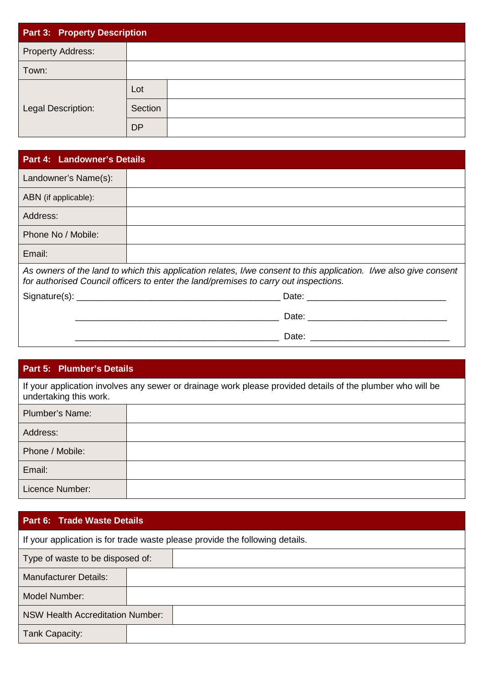| Part 3: Property Description |           |  |  |  |  |  |
|------------------------------|-----------|--|--|--|--|--|
| <b>Property Address:</b>     |           |  |  |  |  |  |
| Town:                        |           |  |  |  |  |  |
|                              | Lot       |  |  |  |  |  |
| Legal Description:           | Section   |  |  |  |  |  |
|                              | <b>DP</b> |  |  |  |  |  |

| <b>Part 4: Landowner's Details</b> |                                                                                                                                                                                                           |
|------------------------------------|-----------------------------------------------------------------------------------------------------------------------------------------------------------------------------------------------------------|
| Landowner's Name(s):               |                                                                                                                                                                                                           |
| ABN (if applicable):               |                                                                                                                                                                                                           |
| Address:                           |                                                                                                                                                                                                           |
| Phone No / Mobile:                 |                                                                                                                                                                                                           |
| Email:                             |                                                                                                                                                                                                           |
|                                    | As owners of the land to which this application relates, I/we consent to this application. I/we also give consent<br>for authorised Council officers to enter the land/premises to carry out inspections. |
|                                    |                                                                                                                                                                                                           |
|                                    |                                                                                                                                                                                                           |
|                                    |                                                                                                                                                                                                           |

### **Part 5: Plumber's Details**

If your application involves any sewer or drainage work please provided details of the plumber who will be undertaking this work.

| <b>Plumber's Name:</b> |  |
|------------------------|--|
| Address:               |  |
| Phone / Mobile:        |  |
| Email:                 |  |
| Licence Number:        |  |

# **Part 6: Trade Waste Details**

| If your application is for trade waste please provide the following details. |  |  |  |  |  |
|------------------------------------------------------------------------------|--|--|--|--|--|
| Type of waste to be disposed of:                                             |  |  |  |  |  |
| <b>Manufacturer Details:</b>                                                 |  |  |  |  |  |
| Model Number:                                                                |  |  |  |  |  |
| NSW Health Accreditation Number:                                             |  |  |  |  |  |
| Tank Capacity:                                                               |  |  |  |  |  |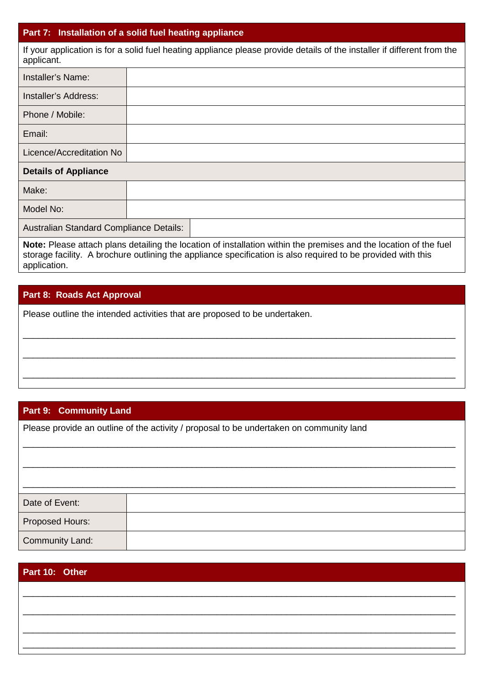#### **Part 7: Installation of a solid fuel heating appliance**

If your application is for a solid fuel heating appliance please provide details of the installer if different from the applicant.

| Installer's Name:                       |  |  |  |  |  |
|-----------------------------------------|--|--|--|--|--|
| <b>Installer's Address:</b>             |  |  |  |  |  |
| Phone / Mobile:                         |  |  |  |  |  |
| Email:                                  |  |  |  |  |  |
| Licence/Accreditation No                |  |  |  |  |  |
| <b>Details of Appliance</b>             |  |  |  |  |  |
| Make:                                   |  |  |  |  |  |
| Model No:                               |  |  |  |  |  |
| Australian Standard Compliance Details: |  |  |  |  |  |
|                                         |  |  |  |  |  |

**Note:** Please attach plans detailing the location of installation within the premises and the location of the fuel storage facility. A brochure outlining the appliance specification is also required to be provided with this application.

\_\_\_\_\_\_\_\_\_\_\_\_\_\_\_\_\_\_\_\_\_\_\_\_\_\_\_\_\_\_\_\_\_\_\_\_\_\_\_\_\_\_\_\_\_\_\_\_\_\_\_\_\_\_\_\_\_\_\_\_\_\_\_\_\_\_\_\_\_\_\_\_\_\_\_\_\_\_\_\_\_\_\_\_\_\_\_

\_\_\_\_\_\_\_\_\_\_\_\_\_\_\_\_\_\_\_\_\_\_\_\_\_\_\_\_\_\_\_\_\_\_\_\_\_\_\_\_\_\_\_\_\_\_\_\_\_\_\_\_\_\_\_\_\_\_\_\_\_\_\_\_\_\_\_\_\_\_\_\_\_\_\_\_\_\_\_\_\_\_\_\_\_\_\_

\_\_\_\_\_\_\_\_\_\_\_\_\_\_\_\_\_\_\_\_\_\_\_\_\_\_\_\_\_\_\_\_\_\_\_\_\_\_\_\_\_\_\_\_\_\_\_\_\_\_\_\_\_\_\_\_\_\_\_\_\_\_\_\_\_\_\_\_\_\_\_\_\_\_\_\_\_\_\_\_\_\_\_\_\_\_\_

\_\_\_\_\_\_\_\_\_\_\_\_\_\_\_\_\_\_\_\_\_\_\_\_\_\_\_\_\_\_\_\_\_\_\_\_\_\_\_\_\_\_\_\_\_\_\_\_\_\_\_\_\_\_\_\_\_\_\_\_\_\_\_\_\_\_\_\_\_\_\_\_\_\_\_\_\_\_\_\_\_\_\_\_\_\_\_

### **Part 8: Roads Act Approval**

Please outline the intended activities that are proposed to be undertaken.

# **Part 9: Community Land**

Please provide an outline of the activity / proposal to be undertaken on community land

| Date of Event:  |  |
|-----------------|--|
| Proposed Hours: |  |
| Community Land: |  |

| Part 10: Other |  |  |  |  |  |
|----------------|--|--|--|--|--|
|                |  |  |  |  |  |
|                |  |  |  |  |  |
|                |  |  |  |  |  |
|                |  |  |  |  |  |